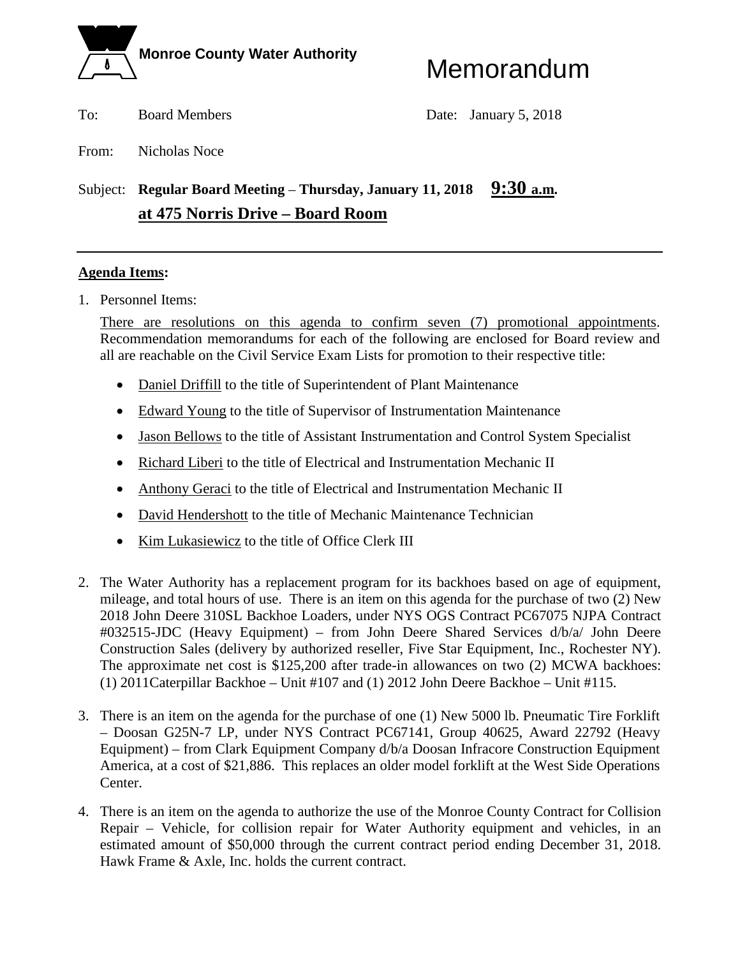

To: Board Members Date: January 5, 2018

From: Nicholas Noce

# Subject: **Regular Board Meeting** – **Thursday, January 11, 2018 9:30 a.m. at 475 Norris Drive – Board Room**

# **Agenda Items:**

1. Personnel Items:

There are resolutions on this agenda to confirm seven (7) promotional appointments. Recommendation memorandums for each of the following are enclosed for Board review and all are reachable on the Civil Service Exam Lists for promotion to their respective title:

- Daniel Driffill to the title of Superintendent of Plant Maintenance
- Edward Young to the title of Supervisor of Instrumentation Maintenance
- Jason Bellows to the title of Assistant Instrumentation and Control System Specialist
- Richard Liberi to the title of Electrical and Instrumentation Mechanic II
- Anthony Geraci to the title of Electrical and Instrumentation Mechanic II
- David Hendershott to the title of Mechanic Maintenance Technician
- Kim Lukasiewicz to the title of Office Clerk III
- 2. The Water Authority has a replacement program for its backhoes based on age of equipment, mileage, and total hours of use. There is an item on this agenda for the purchase of two (2) New 2018 John Deere 310SL Backhoe Loaders, under NYS OGS Contract PC67075 NJPA Contract #032515-JDC (Heavy Equipment) – from John Deere Shared Services d/b/a/ John Deere Construction Sales (delivery by authorized reseller, Five Star Equipment, Inc., Rochester NY). The approximate net cost is \$125,200 after trade-in allowances on two (2) MCWA backhoes: (1) 2011Caterpillar Backhoe – Unit #107 and (1) 2012 John Deere Backhoe – Unit #115.
- 3. There is an item on the agenda for the purchase of one (1) New 5000 lb. Pneumatic Tire Forklift – Doosan G25N-7 LP, under NYS Contract PC67141, Group 40625, Award 22792 (Heavy Equipment) – from Clark Equipment Company d/b/a Doosan Infracore Construction Equipment America, at a cost of \$21,886. This replaces an older model forklift at the West Side Operations Center.
- 4. There is an item on the agenda to authorize the use of the Monroe County Contract for Collision Repair – Vehicle, for collision repair for Water Authority equipment and vehicles, in an estimated amount of \$50,000 through the current contract period ending December 31, 2018. Hawk Frame & Axle, Inc. holds the current contract.